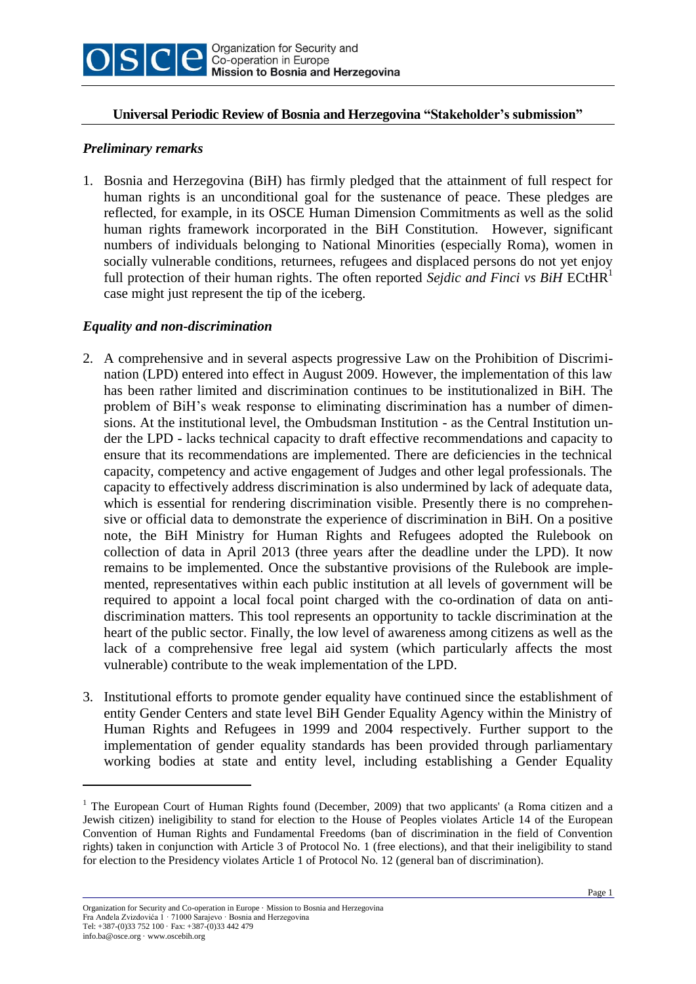

### **Universal Periodic Review of Bosnia and Herzegovina "Stakeholder's submission"**

### *Preliminary remarks*

1. Bosnia and Herzegovina (BiH) has firmly pledged that the attainment of full respect for human rights is an unconditional goal for the sustenance of peace. These pledges are reflected, for example, in its OSCE Human Dimension Commitments as well as the solid human rights framework incorporated in the BiH Constitution. However, significant numbers of individuals belonging to National Minorities (especially Roma), women in socially vulnerable conditions, returnees, refugees and displaced persons do not yet enjoy full protection of their human rights. The often reported *Sejdic and Finci vs BiH* ECtHR<sup>1</sup> case might just represent the tip of the iceberg.

# *Equality and non-discrimination*

- 2. A comprehensive and in several aspects progressive Law on the Prohibition of Discrimination (LPD) entered into effect in August 2009. However, the implementation of this law has been rather limited and discrimination continues to be institutionalized in BiH. The problem of BiH's weak response to eliminating discrimination has a number of dimensions. At the institutional level, the Ombudsman Institution - as the Central Institution under the LPD - lacks technical capacity to draft effective recommendations and capacity to ensure that its recommendations are implemented. There are deficiencies in the technical capacity, competency and active engagement of Judges and other legal professionals. The capacity to effectively address discrimination is also undermined by lack of adequate data, which is essential for rendering discrimination visible. Presently there is no comprehensive or official data to demonstrate the experience of discrimination in BiH. On a positive note, the BiH Ministry for Human Rights and Refugees adopted the Rulebook on collection of data in April 2013 (three years after the deadline under the LPD). It now remains to be implemented. Once the substantive provisions of the Rulebook are implemented, representatives within each public institution at all levels of government will be required to appoint a local focal point charged with the co-ordination of data on antidiscrimination matters. This tool represents an opportunity to tackle discrimination at the heart of the public sector. Finally, the low level of awareness among citizens as well as the lack of a comprehensive free legal aid system (which particularly affects the most vulnerable) contribute to the weak implementation of the LPD.
- 3. Institutional efforts to promote gender equality have continued since the establishment of entity Gender Centers and state level BiH Gender Equality Agency within the Ministry of Human Rights and Refugees in 1999 and 2004 respectively. Further support to the implementation of gender equality standards has been provided through parliamentary working bodies at state and entity level, including establishing a Gender Equality

<u>.</u>

<sup>&</sup>lt;sup>1</sup> The European Court of Human Rights found (December, 2009) that two applicants' (a Roma citizen and a Jewish citizen) ineligibility to stand for election to the House of Peoples violates Article 14 of the European Convention of Human Rights and Fundamental Freedoms (ban of discrimination in the field of Convention rights) taken in conjunction with Article 3 of Protocol No. 1 (free elections), and that their ineligibility to stand for election to the Presidency violates Article 1 of Protocol No. 12 (general ban of discrimination).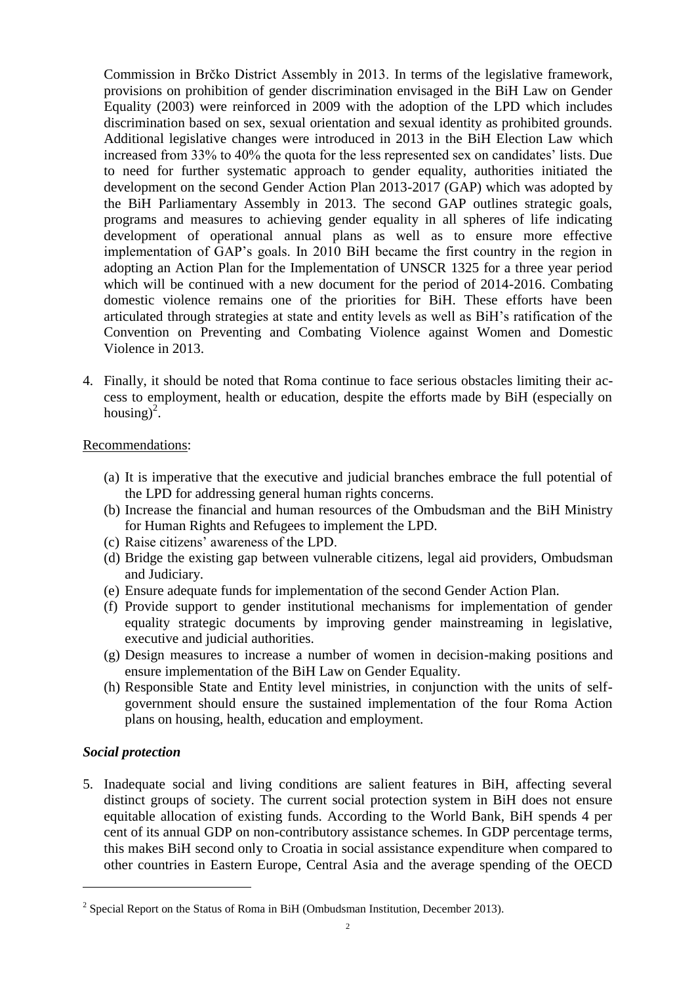Commission in Brčko District Assembly in 2013. In terms of the legislative framework, provisions on prohibition of gender discrimination envisaged in the BiH Law on Gender Equality (2003) were reinforced in 2009 with the adoption of the LPD which includes discrimination based on sex, sexual orientation and sexual identity as prohibited grounds. Additional legislative changes were introduced in 2013 in the BiH Election Law which increased from 33% to 40% the quota for the less represented sex on candidates' lists. Due to need for further systematic approach to gender equality, authorities initiated the development on the second Gender Action Plan 2013-2017 (GAP) which was adopted by the BiH Parliamentary Assembly in 2013. The second GAP outlines strategic goals, programs and measures to achieving gender equality in all spheres of life indicating development of operational annual plans as well as to ensure more effective implementation of GAP's goals. In 2010 BiH became the first country in the region in adopting an Action Plan for the Implementation of UNSCR 1325 for a three year period which will be continued with a new document for the period of 2014-2016. Combating domestic violence remains one of the priorities for BiH. These efforts have been articulated through strategies at state and entity levels as well as BiH's ratification of the Convention on Preventing and Combating Violence against Women and Domestic Violence in 2013.

4. Finally, it should be noted that Roma continue to face serious obstacles limiting their access to employment, health or education, despite the efforts made by BiH (especially on housing)<sup>2</sup>.

### Recommendations:

- (a) It is imperative that the executive and judicial branches embrace the full potential of the LPD for addressing general human rights concerns.
- (b) Increase the financial and human resources of the Ombudsman and the BiH Ministry for Human Rights and Refugees to implement the LPD.
- (c) Raise citizens' awareness of the LPD.
- (d) Bridge the existing gap between vulnerable citizens, legal aid providers, Ombudsman and Judiciary.
- (e) Ensure adequate funds for implementation of the second Gender Action Plan.
- (f) Provide support to gender institutional mechanisms for implementation of gender equality strategic documents by improving gender mainstreaming in legislative, executive and judicial authorities.
- (g) Design measures to increase a number of women in decision-making positions and ensure implementation of the BiH Law on Gender Equality.
- (h) Responsible State and Entity level ministries, in conjunction with the units of selfgovernment should ensure the sustained implementation of the four Roma Action plans on housing, health, education and employment.

# *Social protection*

<u>.</u>

5. Inadequate social and living conditions are salient features in BiH, affecting several distinct groups of society. The current social protection system in BiH does not ensure equitable allocation of existing funds. According to the World Bank, BiH spends 4 per cent of its annual GDP on non-contributory assistance schemes. In GDP percentage terms, this makes BiH second only to Croatia in social assistance expenditure when compared to other countries in Eastern Europe, Central Asia and the average spending of the OECD

 $2^2$  Special Report on the Status of Roma in BiH (Ombudsman Institution, December 2013).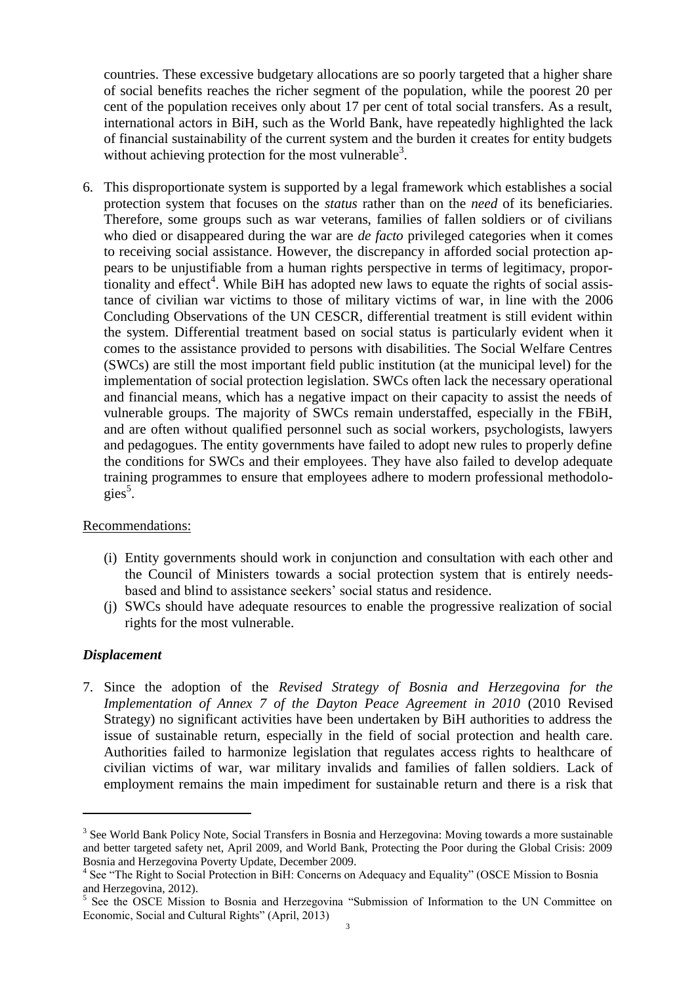countries. These excessive budgetary allocations are so poorly targeted that a higher share of social benefits reaches the richer segment of the population, while the poorest 20 per cent of the population receives only about 17 per cent of total social transfers. As a result, international actors in BiH, such as the World Bank, have repeatedly highlighted the lack of financial sustainability of the current system and the burden it creates for entity budgets without achieving protection for the most vulnerable<sup>3</sup>.

6. This disproportionate system is supported by a legal framework which establishes a social protection system that focuses on the *status* rather than on the *need* of its beneficiaries. Therefore, some groups such as war veterans, families of fallen soldiers or of civilians who died or disappeared during the war are *de facto* privileged categories when it comes to receiving social assistance. However, the discrepancy in afforded social protection appears to be unjustifiable from a human rights perspective in terms of legitimacy, proportionality and effect<sup>4</sup>. While BiH has adopted new laws to equate the rights of social assistance of civilian war victims to those of military victims of war, in line with the 2006 Concluding Observations of the UN CESCR, differential treatment is still evident within the system. Differential treatment based on social status is particularly evident when it comes to the assistance provided to persons with disabilities. The Social Welfare Centres (SWCs) are still the most important field public institution (at the municipal level) for the implementation of social protection legislation. SWCs often lack the necessary operational and financial means, which has a negative impact on their capacity to assist the needs of vulnerable groups. The majority of SWCs remain understaffed, especially in the FBiH, and are often without qualified personnel such as social workers, psychologists, lawyers and pedagogues. The entity governments have failed to adopt new rules to properly define the conditions for SWCs and their employees. They have also failed to develop adequate training programmes to ensure that employees adhere to modern professional methodolo- $\text{gies}^5$ .

### Recommendations:

- (i) Entity governments should work in conjunction and consultation with each other and the Council of Ministers towards a social protection system that is entirely needsbased and blind to assistance seekers' social status and residence.
- (j) SWCs should have adequate resources to enable the progressive realization of social rights for the most vulnerable.

### *Displacement*

1

7. Since the adoption of the *Revised Strategy of Bosnia and Herzegovina for the Implementation of Annex 7 of the Dayton Peace Agreement in 2010* (2010 Revised Strategy) no significant activities have been undertaken by BiH authorities to address the issue of sustainable return, especially in the field of social protection and health care. Authorities failed to harmonize legislation that regulates access rights to healthcare of civilian victims of war, war military invalids and families of fallen soldiers. Lack of employment remains the main impediment for sustainable return and there is a risk that

<sup>&</sup>lt;sup>3</sup> See World Bank Policy Note, Social Transfers in Bosnia and Herzegovina: Moving towards a more sustainable and better targeted safety net, April 2009, and World Bank, Protecting the Poor during the Global Crisis: 2009 Bosnia and Herzegovina Poverty Update, December 2009.

<sup>&</sup>lt;sup>4</sup> See "The Right to Social Protection in BiH: Concerns on Adequacy and Equality" (OSCE Mission to Bosnia and Herzegovina, 2012).

<sup>&</sup>lt;sup>5</sup> See the OSCE Mission to Bosnia and Herzegovina "Submission of Information to the UN Committee on Economic, Social and Cultural Rights" (April, 2013)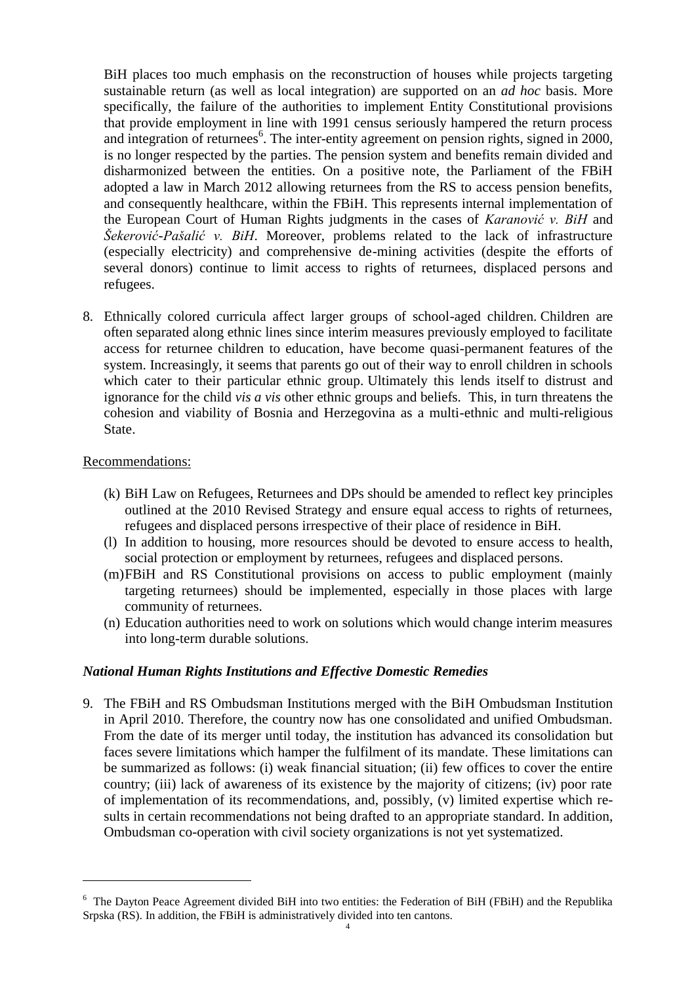BiH places too much emphasis on the reconstruction of houses while projects targeting sustainable return (as well as local integration) are supported on an *ad hoc* basis. More specifically, the failure of the authorities to implement Entity Constitutional provisions that provide employment in line with 1991 census seriously hampered the return process and integration of returnees<sup>6</sup>. The inter-entity agreement on pension rights, signed in 2000, is no longer respected by the parties. The pension system and benefits remain divided and disharmonized between the entities. On a positive note, the Parliament of the FBiH adopted a law in March 2012 allowing returnees from the RS to access pension benefits, and consequently healthcare, within the FBiH. This represents internal implementation of the European Court of Human Rights judgments in the cases of *Karanović v. BiH* and *Šekerović-Pašalić v. BiH*. Moreover, problems related to the lack of infrastructure (especially electricity) and comprehensive de-mining activities (despite the efforts of several donors) continue to limit access to rights of returnees, displaced persons and refugees.

8. Ethnically colored curricula affect larger groups of school-aged children. Children are often separated along ethnic lines since interim measures previously employed to facilitate access for returnee children to education, have become quasi-permanent features of the system. Increasingly, it seems that parents go out of their way to enroll children in schools which cater to their particular ethnic group. Ultimately this lends itself to distrust and ignorance for the child *vis a vis* other ethnic groups and beliefs. This, in turn threatens the cohesion and viability of Bosnia and Herzegovina as a multi-ethnic and multi-religious State.

### Recommendations:

1

- (k) BiH Law on Refugees, Returnees and DPs should be amended to reflect key principles outlined at the 2010 Revised Strategy and ensure equal access to rights of returnees, refugees and displaced persons irrespective of their place of residence in BiH.
- (l) In addition to housing, more resources should be devoted to ensure access to health, social protection or employment by returnees, refugees and displaced persons.
- (m)FBiH and RS Constitutional provisions on access to public employment (mainly targeting returnees) should be implemented, especially in those places with large community of returnees.
- (n) Education authorities need to work on solutions which would change interim measures into long-term durable solutions.

# *National Human Rights Institutions and Effective Domestic Remedies*

9. The FBiH and RS Ombudsman Institutions merged with the BiH Ombudsman Institution in April 2010. Therefore, the country now has one consolidated and unified Ombudsman. From the date of its merger until today, the institution has advanced its consolidation but faces severe limitations which hamper the fulfilment of its mandate. These limitations can be summarized as follows: (i) weak financial situation; (ii) few offices to cover the entire country; (iii) lack of awareness of its existence by the majority of citizens; (iv) poor rate of implementation of its recommendations, and, possibly, (v) limited expertise which results in certain recommendations not being drafted to an appropriate standard. In addition, Ombudsman co-operation with civil society organizations is not yet systematized.

<sup>&</sup>lt;sup>6</sup> The Dayton Peace Agreement divided BiH into two entities: the Federation of BiH (FBiH) and the Republika Srpska (RS). In addition, the FBiH is administratively divided into ten cantons.